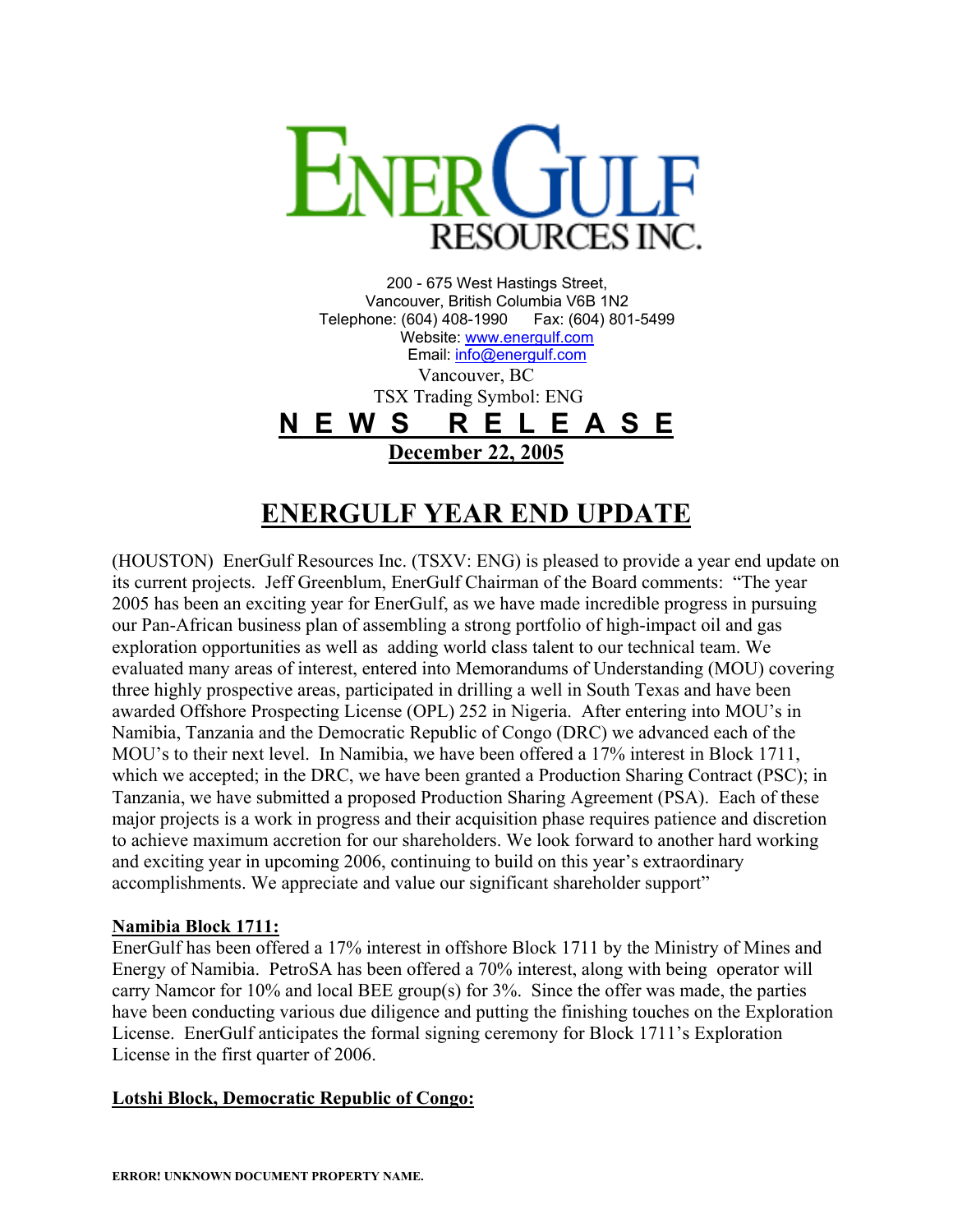

200 - 675 West Hastings Street, Vancouver, British Columbia V6B 1N2 Telephone: (604) 408-1990 Fax: (604) 801-5499 Website: [www.energulf.com](http://www.energulf.com/) Email: [info@energulf.com](mailto:info@energulf.com) Vancouver, BC TSX Trading Symbol: ENG **N E W S R E L E A S E December 22, 2005**

# **ENERGULF YEAR END UPDATE**

(HOUSTON) EnerGulf Resources Inc. (TSXV: ENG) is pleased to provide a year end update on its current projects. Jeff Greenblum, EnerGulf Chairman of the Board comments: "The year 2005 has been an exciting year for EnerGulf, as we have made incredible progress in pursuing our Pan-African business plan of assembling a strong portfolio of high-impact oil and gas exploration opportunities as well as adding world class talent to our technical team. We evaluated many areas of interest, entered into Memorandums of Understanding (MOU) covering three highly prospective areas, participated in drilling a well in South Texas and have been awarded Offshore Prospecting License (OPL) 252 in Nigeria. After entering into MOU's in Namibia, Tanzania and the Democratic Republic of Congo (DRC) we advanced each of the MOU's to their next level. In Namibia, we have been offered a 17% interest in Block 1711, which we accepted; in the DRC, we have been granted a Production Sharing Contract (PSC); in Tanzania, we have submitted a proposed Production Sharing Agreement (PSA). Each of these major projects is a work in progress and their acquisition phase requires patience and discretion to achieve maximum accretion for our shareholders. We look forward to another hard working and exciting year in upcoming 2006, continuing to build on this year's extraordinary accomplishments. We appreciate and value our significant shareholder support"

#### **Namibia Block 1711:**

EnerGulf has been offered a 17% interest in offshore Block 1711 by the Ministry of Mines and Energy of Namibia. PetroSA has been offered a 70% interest, along with being operator will carry Namcor for 10% and local BEE group(s) for 3%. Since the offer was made, the parties have been conducting various due diligence and putting the finishing touches on the Exploration License. EnerGulf anticipates the formal signing ceremony for Block 1711's Exploration License in the first quarter of 2006.

#### **Lotshi Block, Democratic Republic of Congo:**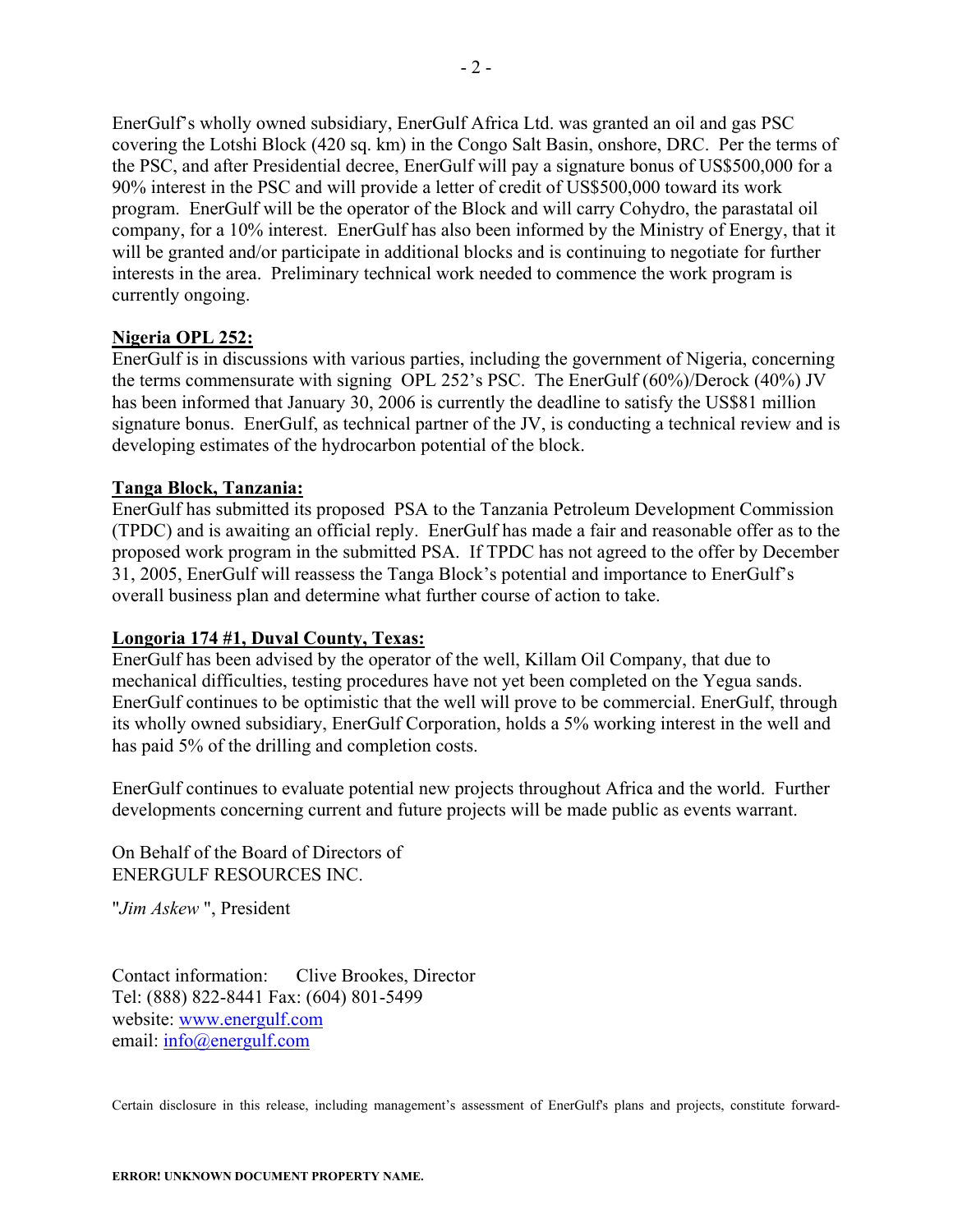EnerGulf's wholly owned subsidiary, EnerGulf Africa Ltd. was granted an oil and gas PSC covering the Lotshi Block (420 sq. km) in the Congo Salt Basin, onshore, DRC. Per the terms of the PSC, and after Presidential decree, EnerGulf will pay a signature bonus of US\$500,000 for a 90% interest in the PSC and will provide a letter of credit of US\$500,000 toward its work program. EnerGulf will be the operator of the Block and will carry Cohydro, the parastatal oil company, for a 10% interest. EnerGulf has also been informed by the Ministry of Energy, that it will be granted and/or participate in additional blocks and is continuing to negotiate for further interests in the area. Preliminary technical work needed to commence the work program is currently ongoing.

## **Nigeria OPL 252:**

EnerGulf is in discussions with various parties, including the government of Nigeria, concerning the terms commensurate with signing OPL 252's PSC. The EnerGulf (60%)/Derock (40%) JV has been informed that January 30, 2006 is currently the deadline to satisfy the US\$81 million signature bonus. EnerGulf, as technical partner of the JV, is conducting a technical review and is developing estimates of the hydrocarbon potential of the block.

## **Tanga Block, Tanzania:**

EnerGulf has submitted its proposed PSA to the Tanzania Petroleum Development Commission (TPDC) and is awaiting an official reply. EnerGulf has made a fair and reasonable offer as to the proposed work program in the submitted PSA. If TPDC has not agreed to the offer by December 31, 2005, EnerGulf will reassess the Tanga Block's potential and importance to EnerGulf's overall business plan and determine what further course of action to take.

## **Longoria 174 #1, Duval County, Texas:**

EnerGulf has been advised by the operator of the well, Killam Oil Company, that due to mechanical difficulties, testing procedures have not yet been completed on the Yegua sands. EnerGulf continues to be optimistic that the well will prove to be commercial. EnerGulf, through its wholly owned subsidiary, EnerGulf Corporation, holds a 5% working interest in the well and has paid 5% of the drilling and completion costs.

EnerGulf continues to evaluate potential new projects throughout Africa and the world. Further developments concerning current and future projects will be made public as events warrant.

On Behalf of the Board of Directors of ENERGULF RESOURCES INC.

"*Jim Askew* ", President

Contact information: Clive Brookes, Director Tel: (888) 822-8441 Fax: (604) 801-5499 website: [www.energulf.com](http://www.energulf.com/) email: [info@energulf.com](mailto:info@energulf.com)

Certain disclosure in this release, including management's assessment of EnerGulf's plans and projects, constitute forward-